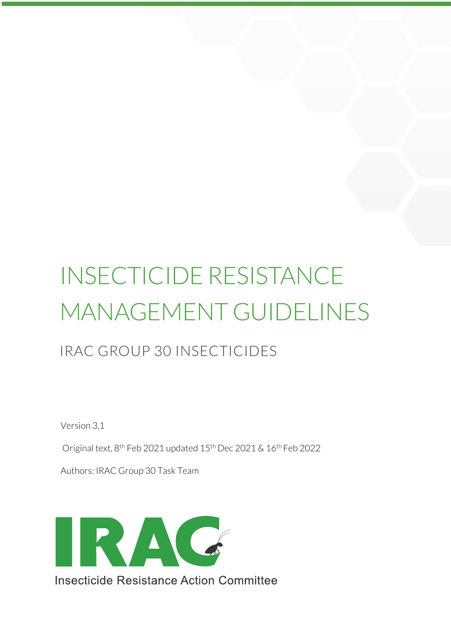# INSECTICIDE RESISTANCE MANAGEMENT GUIDELINES

# IRAC GROUP 30 INSECTICIDES

Version 3.1

Original text, 8th Feb 2021 updated 15th Dec 2021 & 16th Feb 2022

Authors: IRAC Group 30 Task Team

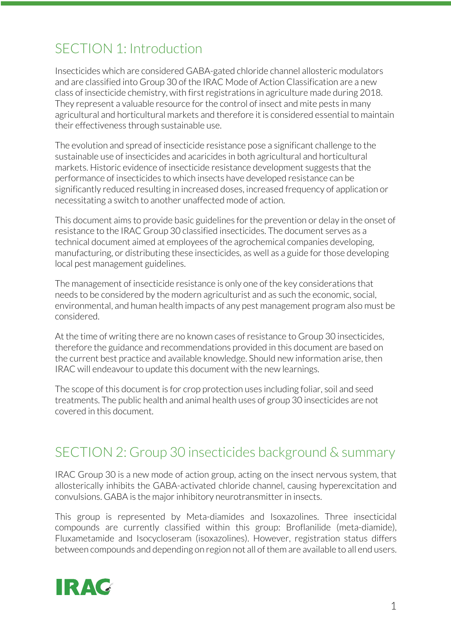# SECTION 1: Introduction

Insecticides which are considered GABA-gated chloride channel allosteric modulators and are classified into Group 30 of the IRAC Mode of Action Classification are a new class of insecticide chemistry, with first registrations in agriculture made during 2018. They represent a valuable resource for the control of insect and mite pests in many agricultural and horticultural markets and therefore it is considered essential to maintain their effectiveness through sustainable use.

The evolution and spread of insecticide resistance pose a significant challenge to the sustainable use of insecticides and acaricides in both agricultural and horticultural markets. Historic evidence of insecticide resistance development suggests that the performance of insecticides to which insects have developed resistance can be significantly reduced resulting in increased doses, increased frequency of application or necessitating a switch to another unaffected mode of action.

This document aims to provide basic guidelines for the prevention or delay in the onset of resistance to the IRAC Group 30 classified insecticides. The document serves as a technical document aimed at employees of the agrochemical companies developing, manufacturing, or distributing these insecticides, as well as a guide for those developing local pest management guidelines.

The management of insecticide resistance is only one of the key considerations that needs to be considered by the modern agriculturist and as such the economic, social, environmental, and human health impacts of any pest management program also must be considered.

At the time of writing there are no known cases of resistance to Group 30 insecticides, therefore the guidance and recommendations provided in this document are based on the current best practice and available knowledge. Should new information arise, then IRAC will endeavour to update this document with the new learnings.

The scope of this document is for crop protection uses including foliar, soil and seed treatments. The public health and animal health uses of group 30 insecticides are not covered in this document.

### SECTION 2: Group 30 insecticides background & summary

IRAC Group 30 is a new mode of action group, acting on the insect nervous system, that allosterically inhibits the GABA-activated chloride channel, causing hyperexcitation and convulsions. GABA is the major inhibitory neurotransmitter in insects.

This group is represented by Meta-diamides and Isoxazolines. Three insecticidal compounds are currently classified within this group: Broflanilide (meta-diamide), Fluxametamide and Isocycloseram (isoxazolines). However, registration status differs between compounds and depending on region not all of them are available to all end users.

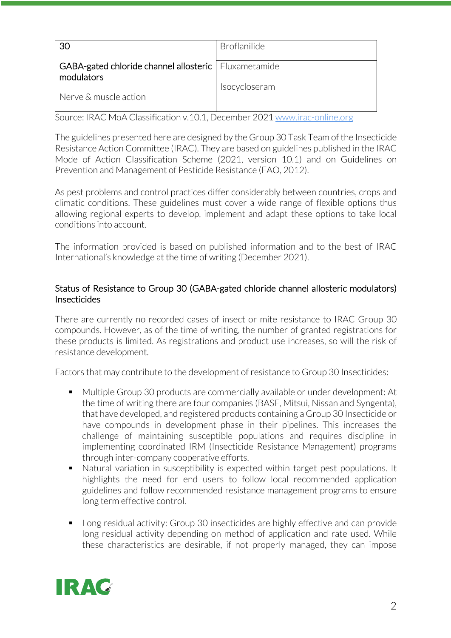| 30                                                                   | <b>Broflanilide</b> |
|----------------------------------------------------------------------|---------------------|
| GABA-gated chloride channel allosteric   Fluxametamide<br>modulators |                     |
| Nerve & muscle action                                                | Isocycloseram       |

Source: IRAC MoA Classification v.10.1, December 2021 www.irac-online.org

The guidelines presented here are designed by the Group 30 Task Team of the Insecticide Resistance Action Committee (IRAC). They are based on guidelines published in the IRAC Mode of Action Classification Scheme (2021, version 10.1) and on Guidelines on Prevention and Management of Pesticide Resistance (FAO, 2012).

As pest problems and control practices differ considerably between countries, crops and climatic conditions. These guidelines must cover a wide range of flexible options thus allowing regional experts to develop, implement and adapt these options to take local conditions into account.

The information provided is based on published information and to the best of IRAC International's knowledge at the time of writing (December 2021).

### Status of Resistance to Group 30 (GABA-gated chloride channel allosteric modulators) Insecticides

There are currently no recorded cases of insect or mite resistance to IRAC Group 30 compounds. However, as of the time of writing, the number of granted registrations for these products is limited. As registrations and product use increases, so will the risk of resistance development.

Factors that may contribute to the development of resistance to Group 30 Insecticides:

- Multiple Group 30 products are commercially available or under development: At the time of writing there are four companies (BASF, Mitsui, Nissan and Syngenta), that have developed, and registered products containing a Group 30 Insecticide or have compounds in development phase in their pipelines. This increases the challenge of maintaining susceptible populations and requires discipline in implementing coordinated IRM (Insecticide Resistance Management) programs through inter-company cooperative efforts.
- Natural variation in susceptibility is expected within target pest populations. It highlights the need for end users to follow local recommended application guidelines and follow recommended resistance management programs to ensure long term effective control.
- Long residual activity: Group 30 insecticides are highly effective and can provide long residual activity depending on method of application and rate used. While these characteristics are desirable, if not properly managed, they can impose

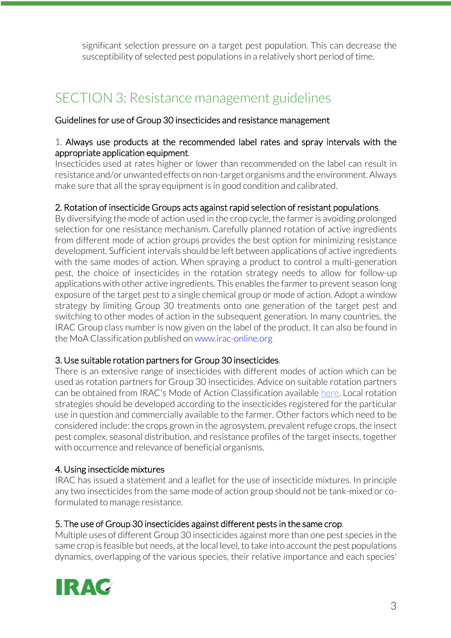significant selection pressure on a target pest population. This can decrease the susceptibility of selected pest populations in a relatively short period of time.

# SECTION 3: Resistance management guidelines

### Guidelines for use of Group 30 insecticides and resistance management

#### 1. Always use products at the recommended label rates and spray intervals with the appropriate application equipment.

Insecticides used at rates higher or lower than recommended on the label can result in resistance and/or unwanted effects on non-target organisms and the environment. Always make sure that all the spray equipment is in good condition and calibrated.

### 2. Rotation of insecticide Groups acts against rapid selection of resistant populations.

By diversifying the mode of action used in the crop cycle, the farmer is avoiding prolonged selection for one resistance mechanism. Carefully planned rotation of active ingredients from different mode of action groups provides the best option for minimizing resistance development. Sufficient intervals should be left between applications of active ingredients with the same modes of action. When spraying a product to control a multi-generation pest, the choice of insecticides in the rotation strategy needs to allow for follow-up applications with other active ingredients. This enables the farmer to prevent season long exposure of the target pest to a single chemical group or mode of action. Adopt a window strategy by limiting Group 30 treatments onto one generation of the target pest and switching to other modes of action in the subsequent generation. In many countries, the IRAC Group class number is now given on the label of the product. It can also be found in the MoA Classification published on www.irac-online.org

#### 3. Use suitable rotation partners for Group 30 insecticides.

There is an extensive range of insecticides with different modes of action which can be used as rotation partners for Group 30 insecticides. Advice on suitable rotation partners can be obtained from IRAC's Mode of Action Classification available here. Local rotation strategies should be developed according to the insecticides registered for the particular use in question and commercially available to the farmer. Other factors which need to be considered include: the crops grown in the agrosystem, prevalent refuge crops, the insect pest complex, seasonal distribution, and resistance profiles of the target insects, together with occurrence and relevance of beneficial organisms.

#### 4. Using insecticide mixtures

IRAC has issued a statement and a leaflet for the use of insecticide mixtures. In principle any two insecticides from the same mode of action group should not be tank-mixed or coformulated to manage resistance.

#### 5. The use of Group 30 insecticides against different pests in the same crop.

Multiple uses of different Group 30 insecticides against more than one pest species in the same crop is feasible but needs, at the local level, to take into account the pest populations dynamics, overlapping of the various species, their relative importance and each species'

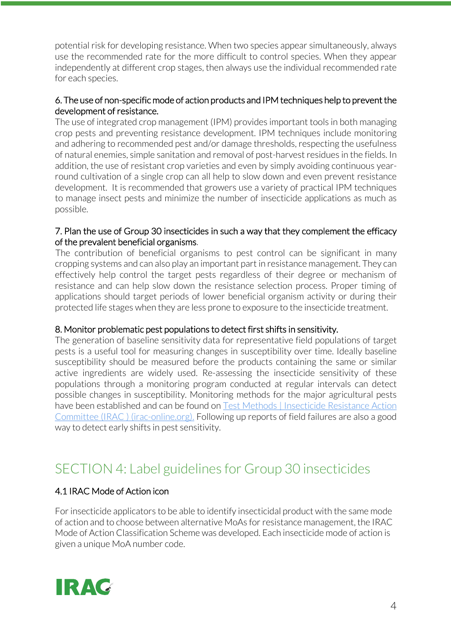potential risk for developing resistance. When two species appear simultaneously, always use the recommended rate for the more difficult to control species. When they appear independently at different crop stages, then always use the individual recommended rate for each species.

### 6. The use of non-specific mode of action products and IPM techniques help to prevent the development of resistance.

The use of integrated crop management (IPM) provides important tools in both managing crop pests and preventing resistance development. IPM techniques include monitoring and adhering to recommended pest and/or damage thresholds, respecting the usefulness of natural enemies, simple sanitation and removal of post-harvest residues in the fields. In addition, the use of resistant crop varieties and even by simply avoiding continuous yearround cultivation of a single crop can all help to slow down and even prevent resistance development. It is recommended that growers use a variety of practical IPM techniques to manage insect pests and minimize the number of insecticide applications as much as possible.

### 7. Plan the use of Group 30 insecticides in such a way that they complement the efficacy of the prevalent beneficial organisms.

The contribution of beneficial organisms to pest control can be significant in many cropping systems and can also play an important part in resistance management. They can effectively help control the target pests regardless of their degree or mechanism of resistance and can help slow down the resistance selection process. Proper timing of applications should target periods of lower beneficial organism activity or during their protected life stages when they are less prone to exposure to the insecticide treatment.

### 8. Monitor problematic pest populations to detect first shifts in sensitivity.

The generation of baseline sensitivity data for representative field populations of target pests is a useful tool for measuring changes in susceptibility over time. Ideally baseline susceptibility should be measured before the products containing the same or similar active ingredients are widely used. Re-assessing the insecticide sensitivity of these populations through a monitoring program conducted at regular intervals can detect possible changes in susceptibility. Monitoring methods for the major agricultural pests have been established and can be found on Test Methods | Insecticide Resistance Action Committee (IRAC ) (irac-online.org). Following up reports of field failures are also a good way to detect early shifts in pest sensitivity.

# SECTION 4: Label guidelines for Group 30 insecticides

### 4.1 IRAC Mode of Action icon

For insecticide applicators to be able to identify insecticidal product with the same mode of action and to choose between alternative MoAs for resistance management, the IRAC Mode of Action Classification Scheme was developed. Each insecticide mode of action is given a unique MoA number code.

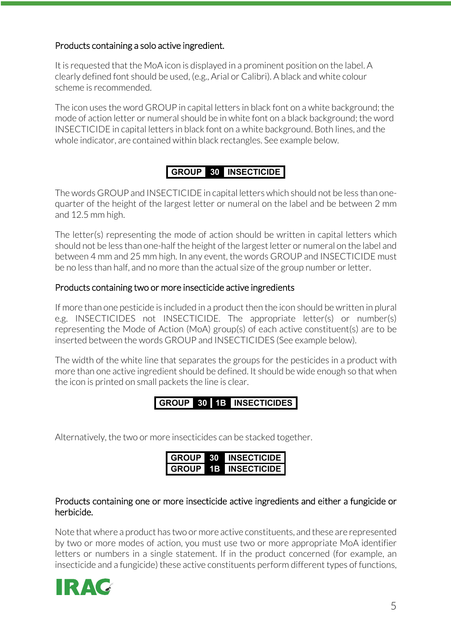### Products containing a solo active ingredient.

It is requested that the MoA icon is displayed in a prominent position on the label. A clearly defined font should be used, (e.g., Arial or Calibri). A black and white colour scheme is recommended.

The icon uses the word GROUP in capital letters in black font on a white background; the mode of action letter or numeral should be in white font on a black background; the word INSECTICIDE in capital letters in black font on a white background. Both lines, and the whole indicator, are contained within black rectangles. See example below.

### **GROUP 30 INSECTICIDE**

The words GROUP and INSECTICIDE in capital letters which should not be less than onequarter of the height of the largest letter or numeral on the label and be between 2 mm and 12.5 mm high.

The letter(s) representing the mode of action should be written in capital letters which should not be less than one-half the height of the largest letter or numeral on the label and between 4 mm and 25 mm high. In any event, the words GROUP and INSECTICIDE must be no less than half, and no more than the actual size of the group number or letter.

#### Products containing two or more insecticide active ingredients

If more than one pesticide is included in a product then the icon should be written in plural e.g. INSECTICIDES not INSECTICIDE. The appropriate letter(s) or number(s) representing the Mode of Action (MoA) group(s) of each active constituent(s) are to be inserted between the words GROUP and INSECTICIDES (See example below).

The width of the white line that separates the groups for the pesticides in a product with more than one active ingredient should be defined. It should be wide enough so that when the icon is printed on small packets the line is clear.

**GROUP 30 1B INSECTICIDES**

Alternatively, the two or more insecticides can be stacked together.

| <b>GROUP</b> | - 30 | <b>INSECTICIDE</b> |
|--------------|------|--------------------|
| <b>GROUP</b> | 1В   | <b>INSECTICIDE</b> |

#### Products containing one or more insecticide active ingredients and either a fungicide or herbicide.

Note that where a product has two or more active constituents, and these are represented by two or more modes of action, you must use two or more appropriate MoA identifier letters or numbers in a single statement. If in the product concerned (for example, an insecticide and a fungicide) these active constituents perform different types of functions,

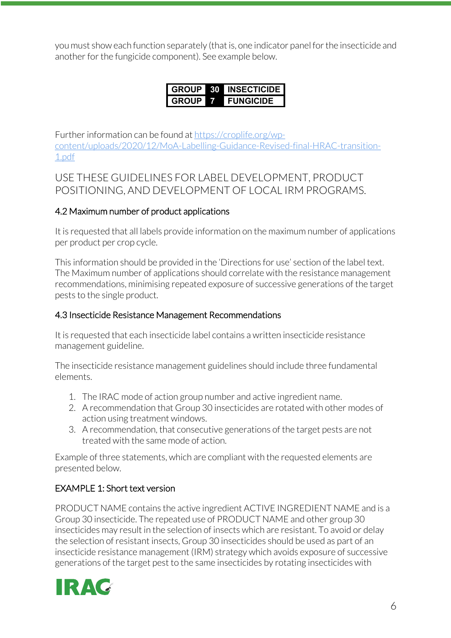you must show each function separately (that is, one indicator panel for the insecticide and another for the fungicide component). See example below.

| GROUP | - 30 - | <b>INSECTICIDE</b> |
|-------|--------|--------------------|
| GROUP |        | <b>FUNGICIDE</b>   |

Further information can be found at https://croplife.org/wpcontent/uploads/2020/12/MoA-Labelling-Guidance-Revised-final-HRAC-transition-1.pdf

### USE THESE GUIDELINES FOR LABEL DEVELOPMENT, PRODUCT POSITIONING, AND DEVELOPMENT OF LOCAL IRM PROGRAMS.

### 4.2 Maximum number of product applications

It is requested that all labels provide information on the maximum number of applications per product per crop cycle.

This information should be provided in the 'Directions for use' section of the label text. The Maximum number of applications should correlate with the resistance management recommendations, minimising repeated exposure of successive generations of the target pests to the single product.

### 4.3 Insecticide Resistance Management Recommendations

It is requested that each insecticide label contains a written insecticide resistance management guideline.

The insecticide resistance management guidelines should include three fundamental elements.

- 1. The IRAC mode of action group number and active ingredient name.
- 2. A recommendation that Group 30 insecticides are rotated with other modes of action using treatment windows.
- 3. A recommendation, that consecutive generations of the target pests are not treated with the same mode of action.

Example of three statements, which are compliant with the requested elements are presented below.

### EXAMPLE 1: Short text version

PRODUCT NAME contains the active ingredient ACTIVE INGREDIENT NAME and is a Group 30 insecticide. The repeated use of PRODUCT NAME and other group 30 insecticides may result in the selection of insects which are resistant. To avoid or delay the selection of resistant insects, Group 30 insecticides should be used as part of an insecticide resistance management (IRM) strategy which avoids exposure of successive generations of the target pest to the same insecticides by rotating insecticides with

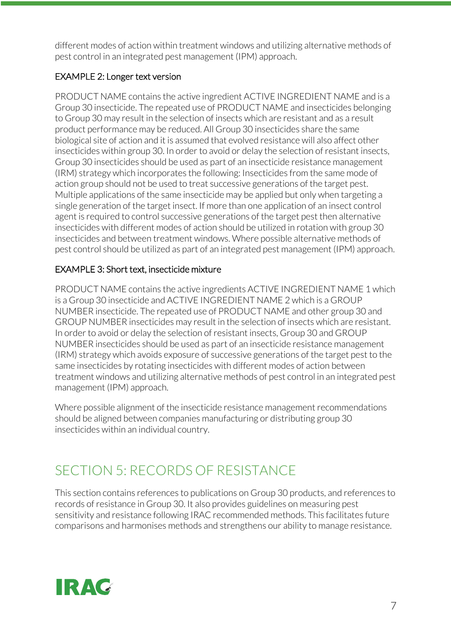different modes of action within treatment windows and utilizing alternative methods of pest control in an integrated pest management (IPM) approach.

### EXAMPLE 2: Longer text version

PRODUCT NAME contains the active ingredient ACTIVE INGREDIENT NAME and is a Group 30 insecticide. The repeated use of PRODUCT NAME and insecticides belonging to Group 30 may result in the selection of insects which are resistant and as a result product performance may be reduced. All Group 30 insecticides share the same biological site of action and it is assumed that evolved resistance will also affect other insecticides within group 30. In order to avoid or delay the selection of resistant insects, Group 30 insecticides should be used as part of an insecticide resistance management (IRM) strategy which incorporates the following: Insecticides from the same mode of action group should not be used to treat successive generations of the target pest. Multiple applications of the same insecticide may be applied but only when targeting a single generation of the target insect. If more than one application of an insect control agent is required to control successive generations of the target pest then alternative insecticides with different modes of action should be utilized in rotation with group 30 insecticides and between treatment windows. Where possible alternative methods of pest control should be utilized as part of an integrated pest management (IPM) approach.

### EXAMPLE 3: Short text, insecticide mixture

PRODUCT NAME contains the active ingredients ACTIVE INGREDIENT NAME 1 which is a Group 30 insecticide and ACTIVE INGREDIENT NAME 2 which is a GROUP NUMBER insecticide. The repeated use of PRODUCT NAME and other group 30 and GROUP NUMBER insecticides may result in the selection of insects which are resistant. In order to avoid or delay the selection of resistant insects, Group 30 and GROUP NUMBER insecticides should be used as part of an insecticide resistance management (IRM) strategy which avoids exposure of successive generations of the target pest to the same insecticides by rotating insecticides with different modes of action between treatment windows and utilizing alternative methods of pest control in an integrated pest management (IPM) approach.

Where possible alignment of the insecticide resistance management recommendations should be aligned between companies manufacturing or distributing group 30 insecticides within an individual country.

# SECTION 5: RECORDS OF RESISTANCE

This section contains references to publications on Group 30 products, and references to records of resistance in Group 30. It also provides guidelines on measuring pest sensitivity and resistance following IRAC recommended methods. This facilitates future comparisons and harmonises methods and strengthens our ability to manage resistance.

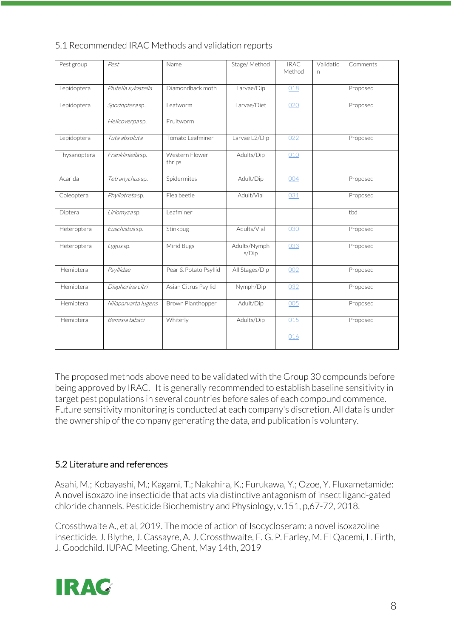| Pest group   | Pest                | Name                     | Stage/Method          | <b>IRAC</b><br>Method | Validatio<br>n | Comments |
|--------------|---------------------|--------------------------|-----------------------|-----------------------|----------------|----------|
| Lepidoptera  | Plutella xylostella | Diamondback moth         | Larvae/Dip            | 018                   |                | Proposed |
| Lepidoptera  | Spodopterasp.       | Leafworm                 | Larvae/Diet           | 020                   |                | Proposed |
|              | Helicoverpasp.      | Fruitworm                |                       |                       |                |          |
| Lepidoptera  | Tuta absoluta       | Tomato Leafminer         | Larvae L2/Dip         | 022                   |                | Proposed |
| Thysanoptera | Frankliniella sp.   | Western Flower<br>thrips | Adults/Dip            | 010                   |                |          |
| Acarida      | Tetranychus sp.     | Spidermites              | Adult/Dip             | 004                   |                | Proposed |
| Coleoptera   | Phyllotretasp.      | Flea beetle              | Adult/Vial            | 031                   |                | Proposed |
| Diptera      | Liriomyzasp.        | Leafminer                |                       |                       |                | tbd      |
| Heteroptera  | Euschistus sp.      | Stinkbug                 | Adults/Vial           | 030                   |                | Proposed |
| Heteroptera  | Lygus sp.           | Mirid Bugs               | Adults/Nymph<br>s/Dip | 033                   |                | Proposed |
| Hemiptera    | Psyllidae           | Pear & Potato Psyllid    | All Stages/Dip        | 002                   |                | Proposed |
| Hemiptera    | Diaphorina citri    | Asian Citrus Psyllid     | Nymph/Dip             | 032                   |                | Proposed |
| Hemiptera    | Nilaparvarta lugens | Brown Planthopper        | Adult/Dip             | 005                   |                | Proposed |
| Hemiptera    | Bemisia tabaci      | Whitefly                 | Adults/Dip            | 015                   |                | Proposed |
|              |                     |                          |                       | 016                   |                |          |

5.1 Recommended IRAC Methods and validation reports

The proposed methods above need to be validated with the Group 30 compounds before being approved by IRAC. It is generally recommended to establish baseline sensitivity in target pest populations in several countries before sales of each compound commence. Future sensitivity monitoring is conducted at each company's discretion. All data is under the ownership of the company generating the data, and publication is voluntary.

### 5.2 Literature and references

Asahi, M.; Kobayashi, M.; Kagami, T.; Nakahira, K.; Furukawa, Y.; Ozoe, Y. Fluxametamide: A novel isoxazoline insecticide that acts via distinctive antagonism of insect ligand-gated chloride channels. Pesticide Biochemistry and Physiology, v.151, p,67-72, 2018.

Crossthwaite A., et al, 2019. The mode of action of Isocycloseram: a novel isoxazoline insecticide. J. Blythe, J. Cassayre, A. J. Crossthwaite, F. G. P. Earley, M. El Qacemi, L. Firth, J. Goodchild. IUPAC Meeting, Ghent, May 14th, 2019